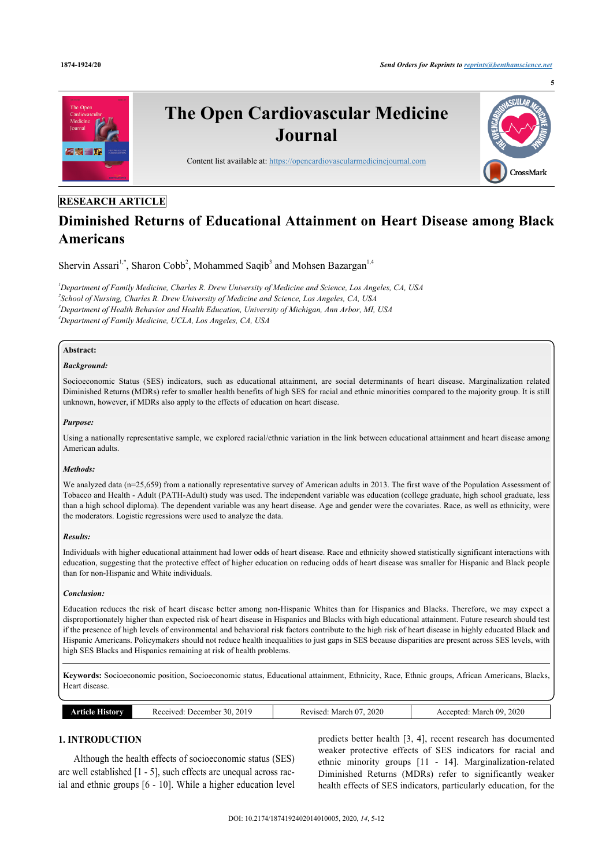

### **RESEARCH ARTICLE**

# **Diminished Returns of Educational Attainment on Heart Disease among Black Americans**

Shervin Assari<sup>[1,](#page-0-0)[\\*](#page-1-0)</sup>, Sharon Cobb<sup>[2](#page-0-1)</sup>, Mohammed Saqib<sup>[3](#page-0-2)</sup> and Mohsen Bazargan<sup>[1](#page-0-0)[,4](#page-0-3)</sup>

<span id="page-0-3"></span><span id="page-0-2"></span><span id="page-0-1"></span><span id="page-0-0"></span>*Department of Family Medicine, Charles R. Drew University of Medicine and Science, Los Angeles, CA, USA School of Nursing, Charles R. Drew University of Medicine and Science, Los Angeles, CA, USA Department of Health Behavior and Health Education, University of Michigan, Ann Arbor, MI, USA Department of Family Medicine, UCLA, Los Angeles, CA, USA*

### **Abstract:**

### *Background:*

Socioeconomic Status (SES) indicators, such as educational attainment, are social determinants of heart disease. Marginalization related Diminished Returns (MDRs) refer to smaller health benefits of high SES for racial and ethnic minorities compared to the majority group. It is still unknown, however, if MDRs also apply to the effects of education on heart disease.

#### *Purpose:*

Using a nationally representative sample, we explored racial/ethnic variation in the link between educational attainment and heart disease among American adults.

### *Methods:*

We analyzed data (n=25,659) from a nationally representative survey of American adults in 2013. The first wave of the Population Assessment of Tobacco and Health - Adult (PATH-Adult) study was used. The independent variable was education (college graduate, high school graduate, less than a high school diploma). The dependent variable was any heart disease. Age and gender were the covariates. Race, as well as ethnicity, were the moderators. Logistic regressions were used to analyze the data.

#### *Results:*

Individuals with higher educational attainment had lower odds of heart disease. Race and ethnicity showed statistically significant interactions with education, suggesting that the protective effect of higher education on reducing odds of heart disease was smaller for Hispanic and Black people than for non-Hispanic and White individuals.

#### *Conclusion:*

Education reduces the risk of heart disease better among non-Hispanic Whites than for Hispanics and Blacks. Therefore, we may expect a disproportionately higher than expected risk of heart disease in Hispanics and Blacks with high educational attainment. Future research should test if the presence of high levels of environmental and behavioral risk factors contribute to the high risk of heart disease in highly educated Black and Hispanic Americans. Policymakers should not reduce health inequalities to just gaps in SES because disparities are present across SES levels, with high SES Blacks and Hispanics remaining at risk of health problems.

**Keywords:** Socioeconomic position, Socioeconomic status, Educational attainment, Ethnicity, Race, Ethnic groups, African Americans, Blacks, Heart disease.

| listory<br>מומ | 20i<br>. .<br>ceived<br>December<br>30. | 2020<br>~~<br>kevised<br>viarch<br>n | 2020<br>$\sim$<br>. March<br>eenteg.<br>AC. |  |  |  |  |
|----------------|-----------------------------------------|--------------------------------------|---------------------------------------------|--|--|--|--|
|                |                                         |                                      | ____                                        |  |  |  |  |

## **1. INTRODUCTION**

Although the health effects of socioeconomic status (SES) are well established [\[1](#page-5-0) - [5](#page-5-1)], such effects are unequal across racial and ethnic groups [[6](#page-5-2) - [10](#page-5-3)]. While a higher education level

predicts better health [[3](#page-5-4), [4\]](#page-5-5), recent research has documented weaker protective effects of SES indicators for racial and ethnic minority groups[[11](#page-5-6) - [14](#page-5-7)]. Marginalization-related Diminished Returns (MDRs) refer to significantly weaker health effects of SES indicators, particularly education, for the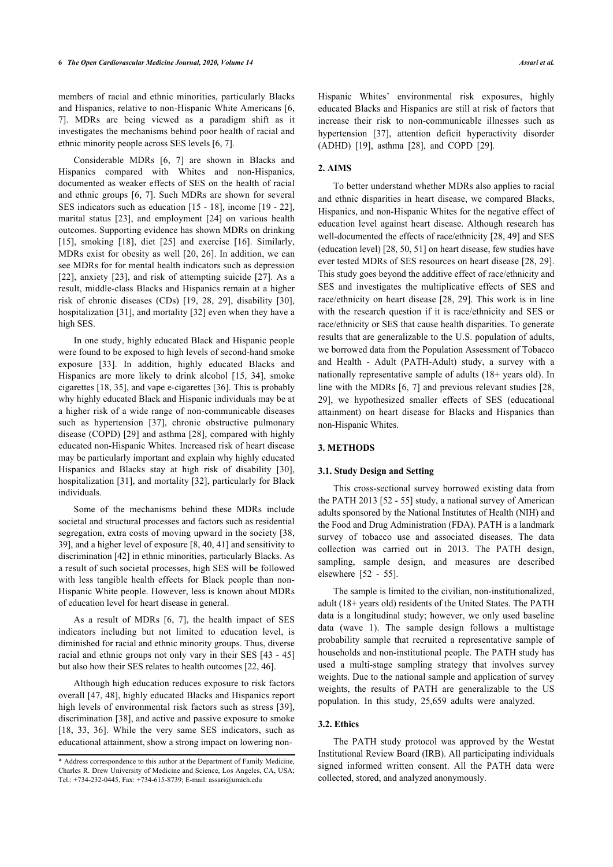members of racial and ethnic minorities, particularly Blacks and Hispanics, relative to non-Hispanic White Americans [\[6](#page-5-2), [7](#page-5-8)]. MDRs are being viewed as a paradigm shift as it investigates the mechanisms behind poor health of racial and ethnic minority people across SES levels [\[6,](#page-5-2) [7\]](#page-5-8).

Considerable MDRs[[6](#page-5-2), [7\]](#page-5-8) are shown in Blacks and Hispanics compared with Whites and non-Hispanics, documented as weaker effects of SES on the health of racial and ethnic groups [[6](#page-5-2), [7\]](#page-5-8). Such MDRs are shown for several SES indicators such as education [[15](#page-5-9) - [18](#page-5-10)], income [[19](#page-5-11) - [22\]](#page-5-12), marital status[[23](#page-5-13)], and employment [\[24\]](#page-5-14) on various health outcomes. Supporting evidence has shown MDRs on drinking [[15\]](#page-5-9),smoking [[18](#page-5-10)], diet [\[25\]](#page-5-15) and exercise [[16\]](#page-5-16). Similarly, MDRs exist for obesity as well [[20](#page-5-17), [26\]](#page-5-18). In addition, we can see MDRs for for mental health indicators such as depression [[22\]](#page-5-12), anxiety [[23\]](#page-5-13), and risk of attempting suicide [[27\]](#page-5-19). As a result, middle-class Blacks and Hispanics remain at a higher risk of chronic diseases (CDs)[[19](#page-5-11), [28,](#page-5-20) [29](#page-5-21)], disability[[30\]](#page-5-22), hospitalization [\[31](#page-5-23)], and mortality [[32\]](#page-5-24) even when they have a high SES.

In one study, highly educated Black and Hispanic people were found to be exposed to high levels of second-hand smoke exposure [\[33](#page-5-25)]. In addition, highly educated Blacks and Hispanics are more likely to drink alcohol [\[15,](#page-5-9) [34](#page-5-26)], smoke cigarettes [[18](#page-5-10), [35\]](#page-5-27), and vape e-cigarettes [\[36](#page-6-0)]. This is probably why highly educated Black and Hispanic individuals may be at a higher risk of a wide range of non-communicable diseases such as hypertension[[37\]](#page-6-1), chronic obstructive pulmonary disease (COPD) [[29](#page-5-21)] and asthma [[28\]](#page-5-20), compared with highly educated non-Hispanic Whites. Increased risk of heart disease may be particularly important and explain why highly educated Hispanics and Blacks stay at high risk of disability[[30\]](#page-5-22), hospitalization [[31\]](#page-5-23), and mortality [\[32](#page-5-24)], particularly for Black individuals.

Some of the mechanisms behind these MDRs include societal and structural processes and factors such as residential segregation, extra costs of moving upward in the society [[38](#page-6-2), [39\]](#page-6-3), and a higher level of exposure [[8](#page-5-28), [40,](#page-6-4) [41](#page-6-5)] and sensitivity to discrimination [\[42](#page-6-6)] in ethnic minorities, particularly Blacks. As a result of such societal processes, high SES will be followed with less tangible health effects for Black people than non-Hispanic White people. However, less is known about MDRs of education level for heart disease in general.

As a result of MDRs [\[6,](#page-5-2) [7\]](#page-5-8), the health impact of SES indicators including but not limited to education level, is diminished for racial and ethnic minority groups. Thus, diverse racial and ethnic groups not only vary in their SES [[43](#page-6-7) - [45](#page-6-8)] but also how their SES relates to health outcomes [\[22](#page-5-12), [46\]](#page-6-9).

Although high education reduces exposure to risk factors overall [\[47](#page-6-10), [48\]](#page-6-11), highly educated Blacks and Hispanics report high levels of environmental risk factors such as stress [[39\]](#page-6-3), discrimination [\[38](#page-6-2)], and active and passive exposure to smoke [[18,](#page-5-10) [33,](#page-5-25) [36](#page-6-0)]. While the very same SES indicators, such as educational attainment, show a strong impact on lowering non-

Hispanic Whites' environmental risk exposures, highly educated Blacks and Hispanics are still at risk of factors that increase their risk to non-communicable illnesses such as hypertension[[37\]](#page-6-1), attention deficit hyperactivity disorder (ADHD) [\[19](#page-5-11)], asthma [\[28](#page-5-20)], and COPD [\[29](#page-5-21)].

### **2. AIMS**

To better understand whether MDRs also applies to racial and ethnic disparities in heart disease, we compared Blacks, Hispanics, and non-Hispanic Whites for the negative effect of education level against heart disease. Although research has well-documented the effects of race/ethnicity [\[28](#page-5-20), [49](#page-6-12)] and SES (education level) [\[28](#page-5-20), [50,](#page-6-13) [51](#page-6-14)] on heart disease, few studies have ever tested MDRs of SES resources on heart disease [[28](#page-5-20), [29](#page-5-21)]. This study goes beyond the additive effect of race/ethnicity and SES and investigates the multiplicative effects of SES and race/ethnicity on heart disease [[28](#page-5-20), [29](#page-5-21)]. This work is in line with the research question if it is race/ethnicity and SES or race/ethnicity or SES that cause health disparities. To generate results that are generalizable to the U.S. population of adults, we borrowed data from the Population Assessment of Tobacco and Health - Adult (PATH-Adult) study, a survey with a nationally representative sample of adults (18+ years old). In line with the MDRs [\[6,](#page-5-2) [7\]](#page-5-8) and previous relevant studies [\[28](#page-5-20), [29](#page-5-21)], we hypothesized smaller effects of SES (educational attainment) on heart disease for Blacks and Hispanics than non-Hispanic Whites.

### **3. METHODS**

### **3.1. Study Design and Setting**

This cross-sectional survey borrowed existing data from the PATH 2013 [\[52](#page-6-15) - [55](#page-6-1)] study, a national survey of American adults sponsored by the National Institutes of Health (NIH) and the Food and Drug Administration (FDA). PATH is a landmark survey of tobacco use and associated diseases. The data collection was carried out in 2013. The PATH design, sampling, sample design, and measures are described elsewhere [\[52](#page-6-15) - [55\]](#page-6-1).

The sample is limited to the civilian, non-institutionalized, adult (18+ years old) residents of the United States. The PATH data is a longitudinal study; however, we only used baseline data (wave 1). The sample design follows a multistage probability sample that recruited a representative sample of households and non-institutional people. The PATH study has used a multi-stage sampling strategy that involves survey weights. Due to the national sample and application of survey weights, the results of PATH are generalizable to the US population. In this study, 25,659 adults were analyzed.

#### **3.2. Ethics**

The PATH study protocol was approved by the Westat Institutional Review Board (IRB). All participating individuals signed informed written consent. All the PATH data were collected, stored, and analyzed anonymously.

<span id="page-1-0"></span><sup>\*</sup> Address correspondence to this author at the Department of Family Medicine, Charles R. Drew University of Medicine and Science, Los Angeles, CA, USA; Tel.: +734-232-0445, Fax: +734-615-8739; E-mail: [assari@umich.edu](mailto:assari@umich.edu)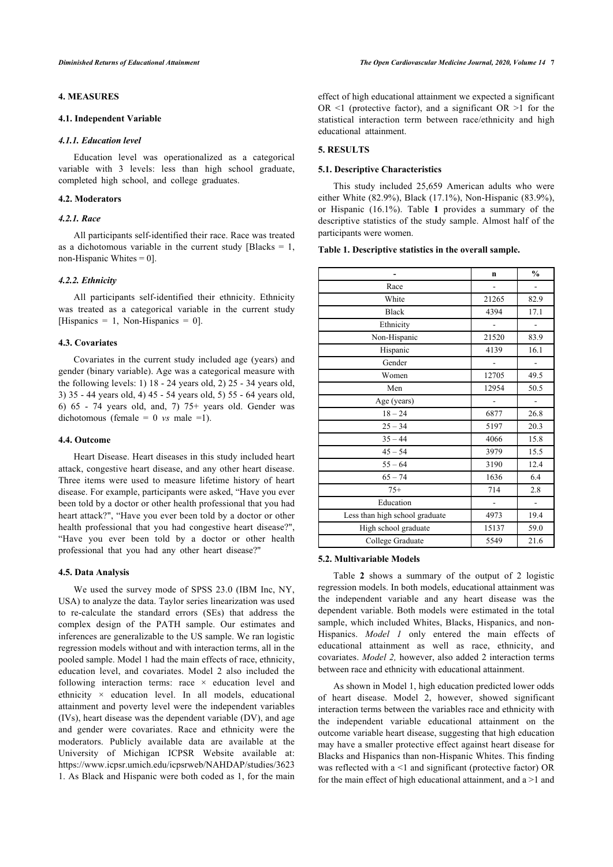### **4. MEASURES**

### **4.1. Independent Variable**

#### *4.1.1. Education level*

Education level was operationalized as a categorical variable with 3 levels: less than high school graduate, completed high school, and college graduates.

### **4.2. Moderators**

### *4.2.1. Race*

<span id="page-2-0"></span>All participants self-identified their race. Race was treated as a dichotomous variable in the current study [Blacks  $= 1$ , non-Hispanic Whites  $= 0$ ].

### *4.2.2. Ethnicity*

All participants self-identified their ethnicity. Ethnicity was treated as a categorical variable in the current study [Hispanics = 1, Non-Hispanics = 0].

### **4.3. Covariates**

Covariates in the current study included age (years) and gender (binary variable). Age was a categorical measure with the following levels: 1) 18 - 24 years old, 2) 25 - 34 years old, 3) 35 - 44 years old, 4) 45 - 54 years old, 5) 55 - 64 years old, 6) 65 - 74 years old, and, 7) 75+ years old. Gender was dichotomous (female  $= 0$  *vs* male  $= 1$ ).

#### **4.4. Outcome**

Heart Disease. Heart diseases in this study included heart attack, congestive heart disease, and any other heart disease. Three items were used to measure lifetime history of heart disease. For example, participants were asked, "Have you ever been told by a doctor or other health professional that you had heart attack?", "Have you ever been told by a doctor or other health professional that you had congestive heart disease?", "Have you ever been told by a doctor or other health professional that you had any other heart disease?"

### **4.5. Data Analysis**

We used the survey mode of SPSS 23.0 (IBM Inc, NY, USA) to analyze the data. Taylor series linearization was used to re-calculate the standard errors (SEs) that address the complex design of the PATH sample. Our estimates and inferences are generalizable to the US sample. We ran logistic regression models without and with interaction terms, all in the pooled sample. Model 1 had the main effects of race, ethnicity, education level, and covariates. Model 2 also included the following interaction terms: race × education level and ethnicity × education level. In all models, educational attainment and poverty level were the independent variables (IVs), heart disease was the dependent variable (DV), and age and gender were covariates. Race and ethnicity were the moderators. Publicly available data are available at the University of Michigan ICPSR Website available at: [https://www.icpsr.umich.edu/icpsrweb/NAHDAP/studies/3623](https://www.icpsr.umich.edu/icpsrweb/NAHDAP/studies/36231) [1](https://www.icpsr.umich.edu/icpsrweb/NAHDAP/studies/36231). As Black and Hispanic were both coded as 1, for the main

effect of high educational attainment we expected a significant OR  $\leq$ 1 (protective factor), and a significant OR  $\geq$ 1 for the statistical interaction term between race/ethnicity and high educational attainment.

#### **5. RESULTS**

#### **5.1. Descriptive Characteristics**

This study included 25,659 American adults who were either White (82.9%), Black (17.1%), Non-Hispanic (83.9%), or Hispanic (16.1%). Table**1** provides a summary of the descriptive statistics of the study sample. Almost half of the participants were women.

### **Table 1. Descriptive statistics in the overall sample.**

|                                | $\mathbf n$ | $\frac{0}{0}$ |
|--------------------------------|-------------|---------------|
| Race                           |             |               |
| White                          | 21265       | 82.9          |
| <b>Black</b>                   | 4394        | 17.1          |
| Ethnicity                      |             |               |
| Non-Hispanic                   | 21520       | 83.9          |
| Hispanic                       | 4139        | 16.1          |
| Gender                         |             |               |
| Women                          | 12705       | 49.5          |
| Men                            | 12954       | 50.5          |
| Age (years)                    |             |               |
| $18 - 24$                      | 6877        | 26.8          |
| $25 - 34$                      | 5197        | 20.3          |
| $35 - 44$                      | 4066        | 15.8          |
| $45 - 54$                      | 3979        | 15.5          |
| $55 - 64$                      | 3190        | 12.4          |
| $65 - 74$                      | 1636        | 6.4           |
| $75+$                          | 714         | 2.8           |
| Education                      |             |               |
| Less than high school graduate | 4973        | 19.4          |
| High school graduate           | 15137       | 59.0          |
| College Graduate               | 5549        | 21.6          |

### **5.2. Multivariable Models**

Table**2** shows a summary of the output of 2 logistic regression models. In both models, educational attainment was the independent variable and any heart disease was the dependent variable. Both models were estimated in the total sample, which included Whites, Blacks, Hispanics, and non-Hispanics. *Model 1* only entered the main effects of educational attainment as well as race, ethnicity, and covariates. *Model 2,* however, also added 2 interaction terms between race and ethnicity with educational attainment.

As shown in Model 1, high education predicted lower odds of heart disease. Model 2, however, showed significant interaction terms between the variables race and ethnicity with the independent variable educational attainment on the outcome variable heart disease, suggesting that high education may have a smaller protective effect against heart disease for Blacks and Hispanics than non-Hispanic Whites. This finding was reflected with a <1 and significant (protective factor) OR for the main effect of high educational attainment, and a >1 and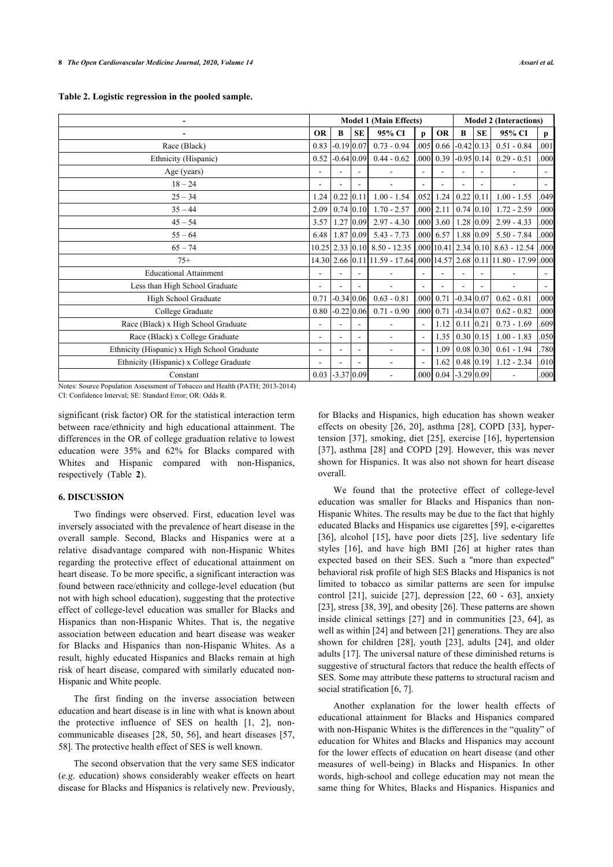<span id="page-3-0"></span>

|                                                                                                                                                                                                                                                                                                                                                                                                                                       | <b>Model 1 (Main Effects)</b> |              |                          |                                                                |                          | <b>Model 2 (Interactions)</b> |                                 |           |                                                                  |                          |
|---------------------------------------------------------------------------------------------------------------------------------------------------------------------------------------------------------------------------------------------------------------------------------------------------------------------------------------------------------------------------------------------------------------------------------------|-------------------------------|--------------|--------------------------|----------------------------------------------------------------|--------------------------|-------------------------------|---------------------------------|-----------|------------------------------------------------------------------|--------------------------|
| $\overline{a}$                                                                                                                                                                                                                                                                                                                                                                                                                        | <b>OR</b>                     | B            | <b>SE</b>                | 95% CI                                                         | p                        | <b>OR</b>                     | B                               | <b>SE</b> | 95% CI                                                           | $\mathbf{p}$             |
| Race (Black)                                                                                                                                                                                                                                                                                                                                                                                                                          | 0.83                          | $-0.19$ 0.07 |                          | $0.73 - 0.94$                                                  | .005                     | 0.66                          | $-0.42$ 0.13                    |           | $0.51 - 0.84$                                                    | .001                     |
| Ethnicity (Hispanic)                                                                                                                                                                                                                                                                                                                                                                                                                  | 0.52                          | $-0.64$ 0.09 |                          | $0.44 - 0.62$                                                  | .000 <sub>l</sub>        | 0.39                          | $-0.95$ 0.14                    |           | $0.29 - 0.51$                                                    | .000                     |
| Age (years)                                                                                                                                                                                                                                                                                                                                                                                                                           |                               |              |                          | $\overline{\phantom{a}}$                                       | $\overline{\phantom{a}}$ |                               |                                 |           |                                                                  | $\overline{\phantom{a}}$ |
| $18 - 24$                                                                                                                                                                                                                                                                                                                                                                                                                             |                               |              |                          |                                                                |                          |                               |                                 |           |                                                                  |                          |
| $25 - 34$                                                                                                                                                                                                                                                                                                                                                                                                                             | 1.24                          | $0.22$ 0.11  |                          | $1.00 - 1.54$                                                  | .052                     |                               | $1.24$ 0.22 0.11                |           | $1.00 - 1.55$                                                    | .049                     |
| $35 - 44$                                                                                                                                                                                                                                                                                                                                                                                                                             | 2.09                          | $0.74$ 0.10  |                          | $1.70 - 2.57$                                                  |                          | $.000$ 2.11                   | $0.74$ 0.10                     |           | $1.72 - 2.59$                                                    | .000                     |
| $45 - 54$                                                                                                                                                                                                                                                                                                                                                                                                                             | 3.57                          | $1.27$ 0.09  |                          | $2.97 - 4.30$                                                  |                          | $.000$ 3.60                   | $1.28 \mid 0.09$                |           | $2.99 - 4.33$                                                    | .000                     |
| $55 - 64$                                                                                                                                                                                                                                                                                                                                                                                                                             | 6.48                          |              |                          | $1.87$ 0.09 $5.43 - 7.73$                                      |                          |                               |                                 |           | 0.00 6.57 1.88 0.09 5.50 - 7.84                                  | .000                     |
| $65 - 74$                                                                                                                                                                                                                                                                                                                                                                                                                             |                               |              |                          | 10.25 2.33 0.10 8.50 - 12.35 .000 10.41 2.34 0.10 8.63 - 12.54 |                          |                               |                                 |           |                                                                  | .000                     |
| $75+$                                                                                                                                                                                                                                                                                                                                                                                                                                 |                               |              |                          |                                                                |                          |                               |                                 |           | 14.30 2.66 0.11 11.59 - 17.64 .000 14.57 2.68 0.11 11.80 - 17.99 | .000                     |
| <b>Educational Attainment</b>                                                                                                                                                                                                                                                                                                                                                                                                         |                               |              |                          |                                                                |                          |                               |                                 |           |                                                                  |                          |
| Less than High School Graduate                                                                                                                                                                                                                                                                                                                                                                                                        |                               |              |                          |                                                                |                          |                               |                                 |           |                                                                  |                          |
| High School Graduate                                                                                                                                                                                                                                                                                                                                                                                                                  | 0.71                          | $-0.34 0.06$ |                          | $0.63 - 0.81$                                                  | .000 <sub>l</sub>        | 0.71                          | $-0.34 0.07 $                   |           | $0.62 - 0.81$                                                    | .000                     |
| College Graduate                                                                                                                                                                                                                                                                                                                                                                                                                      | 0.80                          | $-0.22$ 0.06 |                          | $0.71 - 0.90$                                                  | .000                     | 0.71                          | $-0.34 0.07 $                   |           | $0.62 - 0.82$                                                    | .000                     |
| Race (Black) x High School Graduate                                                                                                                                                                                                                                                                                                                                                                                                   |                               |              |                          |                                                                |                          | 1.12                          | $0.11$ 0.21                     |           | $0.73 - 1.69$                                                    | .609                     |
| Race (Black) x College Graduate                                                                                                                                                                                                                                                                                                                                                                                                       | ۰                             |              |                          |                                                                |                          |                               | $1.35 \mid 0.30 \mid 0.15 \mid$ |           | $1.00 - 1.83$                                                    | .050                     |
| Ethnicity (Hispanic) x High School Graduate                                                                                                                                                                                                                                                                                                                                                                                           |                               |              |                          |                                                                |                          | 1.09                          | $0.08$ 0.30                     |           | $0.61 - 1.94$                                                    | .780                     |
| Ethnicity (Hispanic) x College Graduate                                                                                                                                                                                                                                                                                                                                                                                               |                               |              | $\overline{\phantom{a}}$ | $\overline{a}$                                                 | $\sim$                   | 1.62                          | $0.48$ 0.19                     |           | $1.12 - 2.34$                                                    | .010                     |
| Constant<br>$N_{i+1}, \beta_{i+1}, \beta_{i+1}, \beta_{i+1}, \beta_{i+1}, \beta_{i+1}, \beta_{i+1}, \beta_{i+1}, \beta_{i+1}, \beta_{i+1}, \beta_{i+1}, \beta_{i+1}, \beta_{i+1}, \beta_{i+1}, \beta_{i+1}, \beta_{i+1}, \beta_{i+1}, \beta_{i+1}, \beta_{i+1}, \beta_{i+1}, \beta_{i+1}, \beta_{i+1}, \beta_{i+1}, \beta_{i+1}, \beta_{i+1}, \beta_{i+1}, \beta_{i+1}, \beta_{i+1}, \beta_{i+1}, \beta_{i+1}, \beta_{i+1}, \beta_{i$ | 0.03                          | $-3.37 0.09$ |                          |                                                                | .000                     | 0.04                          | $-3.29$ 0.09                    |           |                                                                  | .000                     |

Notes: Source Population Assessment of Tobacco and Health (PATH; 2013-2014) CI: Confidence Interval; SE: Standard Error; OR: Odds R.

significant (risk factor) OR for the statistical interaction term between race/ethnicity and high educational attainment. The differences in the OR of college graduation relative to lowest education were 35% and 62% for Blacks compared with Whites and Hispanic compared with non-Hispanics, respectively (Table**2**).

### **6. DISCUSSION**

Two findings were observed. First, education level was inversely associated with the prevalence of heart disease in the overall sample. Second, Blacks and Hispanics were at a relative disadvantage compared with non-Hispanic Whites regarding the protective effect of educational attainment on heart disease. To be more specific, a significant interaction was found between race/ethnicity and college-level education (but not with high school education), suggesting that the protective effect of college-level education was smaller for Blacks and Hispanics than non-Hispanic Whites. That is, the negative association between education and heart disease was weaker for Blacks and Hispanics than non-Hispanic Whites. As a result, highly educated Hispanics and Blacks remain at high risk of heart disease, compared with similarly educated non-Hispanic and White people.

The first finding on the inverse association between education and heart disease is in line with what is known about the protective influence of SES on health [\[1,](#page-5-0) [2\]](#page-5-29), noncommunicable diseases [\[28](#page-5-20), [50](#page-6-13), [56](#page-6-16)], and heart diseases [[57](#page-6-4), [58\]](#page-6-17). The protective health effect of SES is well known.

The second observation that the very same SES indicator (*e.g*. education) shows considerably weaker effects on heart disease for Blacks and Hispanics is relatively new. Previously,

for Blacks and Hispanics, high education has shown weaker effects on obesity [[26,](#page-5-18) [20\]](#page-5-17), asthma [[28](#page-5-20)], COPD [[33\]](#page-5-25), hypertension [\[37](#page-6-1)], smoking, diet [[25](#page-5-15)], exercise [[16](#page-5-16)], hypertension [[37](#page-6-1)], asthma [[28\]](#page-5-20) and COPD [\[29](#page-5-21)]. However, this was never shown for Hispanics. It was also not shown for heart disease overall.

We found that the protective effect of college-level education was smaller for Blacks and Hispanics than non-Hispanic Whites. The results may be due to the fact that highly educated Blacks and Hispanics use cigarettes [[59\]](#page-6-6), e-cigarettes [[36](#page-6-0)],alcohol [[15](#page-5-9)], have poor diets [\[25\]](#page-5-15), live sedentary life styles[[16](#page-5-16)], and have high BMI[[26\]](#page-5-18) at higher rates than expected based on their SES. Such a "more than expected" behavioral risk profile of high SES Blacks and Hispanics is not limited to tobacco as similar patterns are seen for impulse control[[21](#page-5-30)], suicide [\[27\]](#page-5-19), depression[[22](#page-5-12), [60](#page-6-18) - [63](#page-6-19)], anxiety [[23\]](#page-5-13), stress [[38,](#page-6-2) [39](#page-6-3)], and obesity [[26\]](#page-5-18). These patterns are shown inside clinical settings [\[27](#page-5-19)] and in communities[[23,](#page-5-13) [64](#page-6-20)], as well as within [[24\]](#page-5-14) and between [[21\]](#page-5-30) generations. They are also shown for children [\[28](#page-5-20)], youth[[23](#page-5-13)], adults[[24\]](#page-5-14), and older adults [\[17](#page-5-31)]. The universal nature of these diminished returns is suggestive of structural factors that reduce the health effects of SES. Some may attribute these patterns to structural racism and social stratification [[6](#page-5-2), [7](#page-5-8)].

Another explanation for the lower health effects of educational attainment for Blacks and Hispanics compared with non-Hispanic Whites is the differences in the "quality" of education for Whites and Blacks and Hispanics may account for the lower effects of education on heart disease (and other measures of well-being) in Blacks and Hispanics. In other words, high-school and college education may not mean the same thing for Whites, Blacks and Hispanics. Hispanics and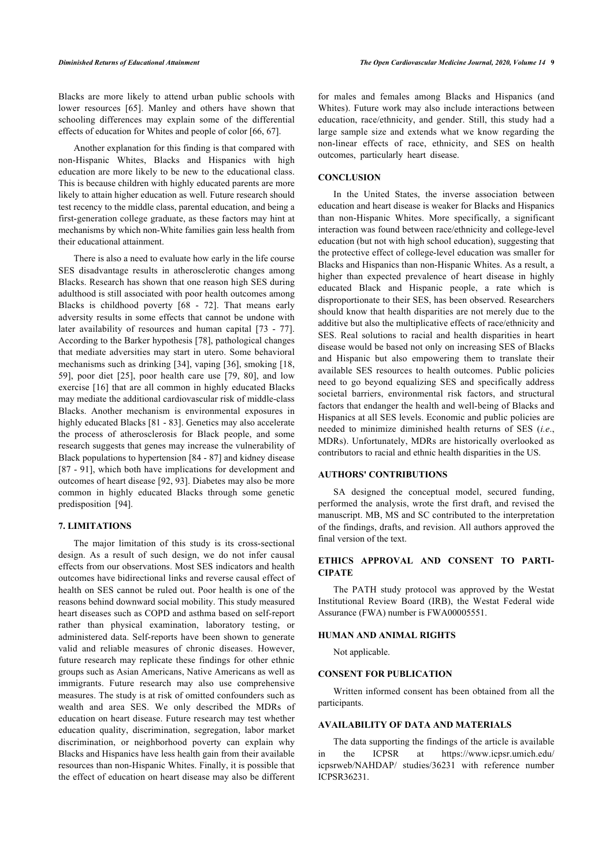Blacks are more likely to attend urban public schools with lower resources[[65](#page-6-21)]. Manley and others have shown that schooling differences may explain some of the differential effects of education for Whites and people of color [\[66](#page-6-12), [67\]](#page-6-22).

Another explanation for this finding is that compared with non-Hispanic Whites, Blacks and Hispanics with high education are more likely to be new to the educational class. This is because children with highly educated parents are more likely to attain higher education as well. Future research should test recency to the middle class, parental education, and being a first-generation college graduate, as these factors may hint at mechanisms by which non-White families gain less health from their educational attainment.

There is also a need to evaluate how early in the life course SES disadvantage results in atherosclerotic changes among Blacks. Research has shown that one reason high SES during adulthood is still associated with poor health outcomes among Blacks is childhood poverty[[68](#page-6-23) - [72](#page-7-0)]. That means early adversity results in some effects that cannot be undone with later availability of resources and human capital [\[73](#page-7-1) - [77\]](#page-7-2). According to the Barker hypothesis [[78\]](#page-7-3), pathological changes that mediate adversities may start in utero. Some behavioral mechanisms such as drinking [[34](#page-5-26)], vaping [[36](#page-6-0)], smoking [[18](#page-5-10), [59\]](#page-6-6), poor diet[[25](#page-5-15)], poor health care use [\[79,](#page-7-4) [80](#page-7-5)], and low exercise [\[16](#page-5-16)] that are all common in highly educated Blacks may mediate the additional cardiovascular risk of middle-class Blacks. Another mechanism is environmental exposures in highly educated Blacks [\[81](#page-7-6) - [83](#page-7-7)]. Genetics may also accelerate the process of atherosclerosis for Black people, and some research suggests that genes may increase the vulnerability of Black populations to hypertension [\[84](#page-7-8) - [87](#page-7-9)] and kidney disease [[87](#page-7-9) - [91](#page-7-10)], which both have implications for development and outcomes of heart disease [\[92,](#page-7-11) [93](#page-7-12)]. Diabetes may also be more common in highly educated Blacks through some genetic predisposition[[94\]](#page-7-13).

### **7. LIMITATIONS**

The major limitation of this study is its cross-sectional design. As a result of such design, we do not infer causal effects from our observations. Most SES indicators and health outcomes have bidirectional links and reverse causal effect of health on SES cannot be ruled out. Poor health is one of the reasons behind downward social mobility. This study measured heart diseases such as COPD and asthma based on self-report rather than physical examination, laboratory testing, or administered data. Self-reports have been shown to generate valid and reliable measures of chronic diseases. However, future research may replicate these findings for other ethnic groups such as Asian Americans, Native Americans as well as immigrants. Future research may also use comprehensive measures. The study is at risk of omitted confounders such as wealth and area SES. We only described the MDRs of education on heart disease. Future research may test whether education quality, discrimination, segregation, labor market discrimination, or neighborhood poverty can explain why Blacks and Hispanics have less health gain from their available resources than non-Hispanic Whites. Finally, it is possible that the effect of education on heart disease may also be different

for males and females among Blacks and Hispanics (and Whites). Future work may also include interactions between education, race/ethnicity, and gender. Still, this study had a large sample size and extends what we know regarding the non-linear effects of race, ethnicity, and SES on health outcomes, particularly heart disease.

### **CONCLUSION**

In the United States, the inverse association between education and heart disease is weaker for Blacks and Hispanics than non-Hispanic Whites. More specifically, a significant interaction was found between race/ethnicity and college-level education (but not with high school education), suggesting that the protective effect of college-level education was smaller for Blacks and Hispanics than non-Hispanic Whites. As a result, a higher than expected prevalence of heart disease in highly educated Black and Hispanic people, a rate which is disproportionate to their SES, has been observed. Researchers should know that health disparities are not merely due to the additive but also the multiplicative effects of race/ethnicity and SES. Real solutions to racial and health disparities in heart disease would be based not only on increasing SES of Blacks and Hispanic but also empowering them to translate their available SES resources to health outcomes. Public policies need to go beyond equalizing SES and specifically address societal barriers, environmental risk factors, and structural factors that endanger the health and well-being of Blacks and Hispanics at all SES levels. Economic and public policies are needed to minimize diminished health returns of SES (*i.e*., MDRs). Unfortunately, MDRs are historically overlooked as contributors to racial and ethnic health disparities in the US.

### **AUTHORS' CONTRIBUTIONS**

SA designed the conceptual model, secured funding, performed the analysis, wrote the first draft, and revised the manuscript. MB, MS and SC contributed to the interpretation of the findings, drafts, and revision. All authors approved the final version of the text.

### **ETHICS APPROVAL AND CONSENT TO PARTI-CIPATE**

The PATH study protocol was approved by the Westat Institutional Review Board (IRB), the Westat Federal wide Assurance (FWA) number is FWA00005551.

### **HUMAN AND ANIMAL RIGHTS**

Not applicable.

### **CONSENT FOR PUBLICATION**

Written informed consent has been obtained from all the participants.

### **AVAILABILITY OF DATA AND MATERIALS**

The data supporting the findings of the article is available in the ICPSR at https://www.icpsr.umich.edu/ icpsrweb/NAHDAP/ studies/36231 with reference number ICPSR36231.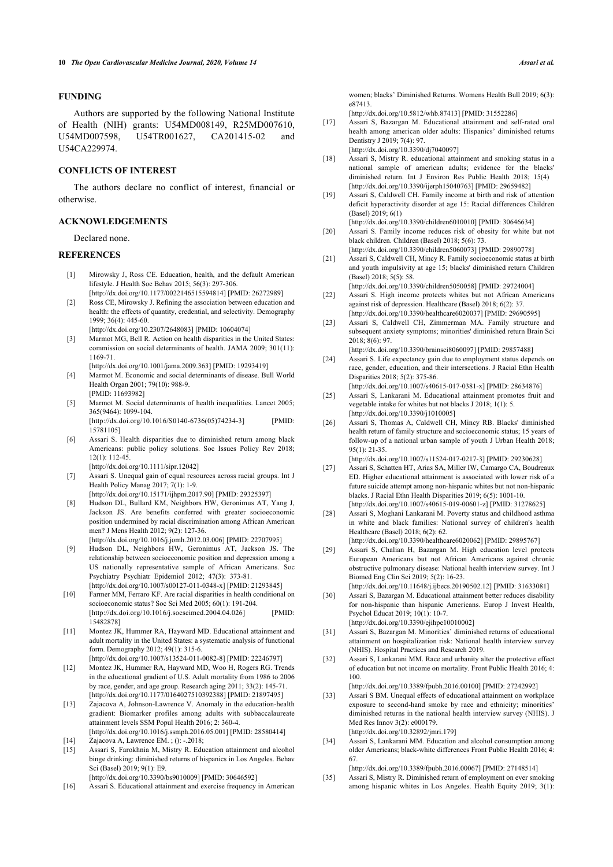### **FUNDING**

<span id="page-5-31"></span>Authors are supported by the following National Institute of Health (NIH) grants: U54MD008149, R25MD007610, U54MD007598, U54TR001627, CA201415-02 and U54CA229974.

### <span id="page-5-10"></span>**CONFLICTS OF INTEREST**

<span id="page-5-11"></span>The authors declare no conflict of interest, financial or otherwise.

### <span id="page-5-17"></span>**ACKNOWLEDGEMENTS**

Declared none.

### <span id="page-5-30"></span><span id="page-5-0"></span>**REFERENCES**

- [1] Mirowsky J, Ross CE. Education, health, and the default American lifestyle. J Health Soc Behav 2015; 56(3): 297-306. [\[http://dx.doi.org/10.1177/0022146515594814](http://dx.doi.org/10.1177/0022146515594814)] [PMID: [26272989\]](http://www.ncbi.nlm.nih.gov/pubmed/26272989)
- <span id="page-5-29"></span><span id="page-5-12"></span>[2] Ross CE, Mirowsky J. Refining the association between education and health: the effects of quantity, credential, and selectivity. Demography 1999; 36(4): 445-60.
- <span id="page-5-13"></span><span id="page-5-4"></span>[\[http://dx.doi.org/10.2307/2648083\]](http://dx.doi.org/10.2307/2648083) [PMID: [10604074](http://www.ncbi.nlm.nih.gov/pubmed/10604074)] [3] Marmot MG, Bell R. Action on health disparities in the United States: commission on social determinants of health. JAMA 2009; 301(11): 1169-71.
- <span id="page-5-14"></span><span id="page-5-5"></span>[\[http://dx.doi.org/10.1001/jama.2009.363\]](http://dx.doi.org/10.1001/jama.2009.363) [PMID: [19293419](http://www.ncbi.nlm.nih.gov/pubmed/19293419)] [4] Marmot M. Economic and social determinants of disease. Bull World Health Organ 2001; 79(10): 988-9.
- <span id="page-5-15"></span><span id="page-5-1"></span>[PMID: [11693982](http://www.ncbi.nlm.nih.gov/pubmed/11693982)] [5] Marmot M. Social determinants of health inequalities. Lancet 2005; 365(9464): 1099-104. [\[http://dx.doi.org/10.1016/S0140-6736\(05\)74234-3](http://dx.doi.org/10.1016/S0140-6736(05)74234-3)] [PMID:
	- [15781105\]](http://www.ncbi.nlm.nih.gov/pubmed/15781105)
- <span id="page-5-18"></span><span id="page-5-2"></span>[6] Assari S. Health disparities due to diminished return among black Americans: public policy solutions. Soc Issues Policy Rev 2018; 12(1): 112-45.

[\[http://dx.doi.org/10.1111/sipr.12042\]](http://dx.doi.org/10.1111/sipr.12042)

- <span id="page-5-19"></span><span id="page-5-8"></span>[7] Assari S. Unequal gain of equal resources across racial groups. Int J Health Policy Manag 2017; 7(1): 1-9.
	- [\[http://dx.doi.org/10.15171/ijhpm.2017.90\]](http://dx.doi.org/10.15171/ijhpm.2017.90) [PMID: [29325397](http://www.ncbi.nlm.nih.gov/pubmed/29325397)]
- <span id="page-5-28"></span><span id="page-5-20"></span>[8] Hudson DL, Bullard KM, Neighbors HW, Geronimus AT, Yang J, Jackson JS. Are benefits conferred with greater socioeconomic position undermined by racial discrimination among African American men? J Mens Health 2012; 9(2): 127-36. [\[http://dx.doi.org/10.1016/j.jomh.2012.03.006](http://dx.doi.org/10.1016/j.jomh.2012.03.006)] [PMID: [22707995\]](http://www.ncbi.nlm.nih.gov/pubmed/22707995)
- <span id="page-5-21"></span>[9] Hudson DL, Neighbors HW, Geronimus AT, Jackson JS. The relationship between socioeconomic position and depression among a US nationally representative sample of African Americans. Soc Psychiatry Psychiatr Epidemiol 2012; 47(3): 373-81. [\[http://dx.doi.org/10.1007/s00127-011-0348-x](http://dx.doi.org/10.1007/s00127-011-0348-x)] [PMID: [21293845\]](http://www.ncbi.nlm.nih.gov/pubmed/21293845)
- <span id="page-5-22"></span><span id="page-5-3"></span>[10] Farmer MM, Ferraro KF. Are racial disparities in health conditional on socioeconomic status? Soc Sci Med 2005; 60(1): 191-204. [\[http://dx.doi.org/10.1016/j.socscimed.2004.04.026\]](http://dx.doi.org/10.1016/j.socscimed.2004.04.026) [PMID: [15482878\]](http://www.ncbi.nlm.nih.gov/pubmed/15482878)
- <span id="page-5-23"></span><span id="page-5-6"></span>[11] Montez JK, Hummer RA, Hayward MD. Educational attainment and adult mortality in the United States: a systematic analysis of functional form. Demography 2012; 49(1): 315-6. [\[http://dx.doi.org/10.1007/s13524-011-0082-8](http://dx.doi.org/10.1007/s13524-011-0082-8)] [PMID: [22246797\]](http://www.ncbi.nlm.nih.gov/pubmed/22246797)
- <span id="page-5-24"></span>[12] Montez JK, Hummer RA, Hayward MD, Woo H, Rogers RG. Trends in the educational gradient of U.S. Adult mortality from 1986 to 2006 by race, gender, and age group. Research aging 2011; 33(2): 145-71. [\[http://dx.doi.org/10.1177/0164027510392388](http://dx.doi.org/10.1177/0164027510392388)] [PMID: [21897495\]](http://www.ncbi.nlm.nih.gov/pubmed/21897495)
- <span id="page-5-25"></span>[13] Zajacova A, Johnson-Lawrence V. Anomaly in the education-health gradient: Biomarker profiles among adults with subbaccalaureate attainment levels SSM Popul Health 2016; 2: 360-4. [\[http://dx.doi.org/10.1016/j.ssmph.2016.05.001\]](http://dx.doi.org/10.1016/j.ssmph.2016.05.001) [PMID: [28580414](http://www.ncbi.nlm.nih.gov/pubmed/28580414)]
- <span id="page-5-26"></span><span id="page-5-9"></span><span id="page-5-7"></span>[14] Zajacova A, Lawrence EM. ; (): -.2018;<br>[15] Assari S. Farokhnia M. Mistry R. Edu [15] Assari S, Farokhnia M, Mistry R. Education attainment and alcohol binge drinking: diminished returns of hispanics in Los Angeles. Behav Sci (Basel) 2019; 9(1): E9.
- <span id="page-5-27"></span><span id="page-5-16"></span>[\[http://dx.doi.org/10.3390/bs9010009\]](http://dx.doi.org/10.3390/bs9010009) [PMID: [30646592\]](http://www.ncbi.nlm.nih.gov/pubmed/30646592) [16] Assari S. Educational attainment and exercise frequency in American
- 

women; blacks' Diminished Returns. Womens Health Bull 2019; 6(3): e87413.

[\[http://dx.doi.org/10.5812/whb.87413\]](http://dx.doi.org/10.5812/whb.87413) [PMID: [31552286](http://www.ncbi.nlm.nih.gov/pubmed/31552286)]

- [17] Assari S, Bazargan M. Educational attainment and self-rated oral health among american older adults: Hispanics' diminished returns Dentistry J 2019; 7(4): 97. [\[http://dx.doi.org/10.3390/dj7040097](http://dx.doi.org/10.3390/dj7040097)]
- [18] Assari S, Mistry R. educational attainment and smoking status in a national sample of american adults; evidence for the blacks' diminished return. Int J Environ Res Public Health 2018; 15(4) [\[http://dx.doi.org/10.3390/ijerph15040763\]](http://dx.doi.org/10.3390/ijerph15040763) [PMID: [29659482](http://www.ncbi.nlm.nih.gov/pubmed/29659482)]
- [19] Assari S, Caldwell CH. Family income at birth and risk of attention deficit hyperactivity disorder at age 15: Racial differences Children (Basel) 2019; 6(1)
- [\[http://dx.doi.org/10.3390/children6010010\]](http://dx.doi.org/10.3390/children6010010) [PMID: [30646634\]](http://www.ncbi.nlm.nih.gov/pubmed/30646634) [20] Assari S. Family income reduces risk of obesity for white but not black children. Children (Basel) 2018; 5(6): 73.

[\[http://dx.doi.org/10.3390/children5060073\]](http://dx.doi.org/10.3390/children5060073) [PMID: [29890778\]](http://www.ncbi.nlm.nih.gov/pubmed/29890778)

- [21] Assari S, Caldwell CH, Mincy R. Family socioeconomic status at birth and youth impulsivity at age 15; blacks' diminished return Children (Basel) 2018; 5(5): 58.
- [\[http://dx.doi.org/10.3390/children5050058\]](http://dx.doi.org/10.3390/children5050058) [PMID: [29724004\]](http://www.ncbi.nlm.nih.gov/pubmed/29724004) [22] Assari S. High income protects whites but not African Americans against risk of depression. Healthcare (Basel) 2018; 6(2): 37. [\[http://dx.doi.org/10.3390/healthcare6020037\]](http://dx.doi.org/10.3390/healthcare6020037) [PMID: [29690595](http://www.ncbi.nlm.nih.gov/pubmed/29690595)]
- [23] Assari S, Caldwell CH, Zimmerman MA. Family structure and subsequent anxiety symptoms; minorities' diminished return Brain Sci 2018; 8(6): 97.
- [\[http://dx.doi.org/10.3390/brainsci8060097](http://dx.doi.org/10.3390/brainsci8060097)] [PMID: [29857488\]](http://www.ncbi.nlm.nih.gov/pubmed/29857488) [24] Assari S. Life expectancy gain due to employment status depends on
- race, gender, education, and their intersections. J Racial Ethn Health Disparities 2018; 5(2): 375-86. [\[http://dx.doi.org/10.1007/s40615-017-0381-x\]](http://dx.doi.org/10.1007/s40615-017-0381-x) [PMID: [28634876](http://www.ncbi.nlm.nih.gov/pubmed/28634876)]
- [25] Assari S, Lankarani M. Educational attainment promotes fruit and vegetable intake for whites but not blacks J 2018; 1(1): 5. [\[http://dx.doi.org/10.3390/j1010005\]](http://dx.doi.org/10.3390/j1010005)
- [26] Assari S, Thomas A, Caldwell CH, Mincy RB. Blacks' diminished health return of family structure and socioeconomic status; 15 years of follow-up of a national urban sample of youth J Urban Health 2018; 95(1): 21-35.
- [\[http://dx.doi.org/10.1007/s11524-017-0217-3\]](http://dx.doi.org/10.1007/s11524-017-0217-3) [PMID: [29230628](http://www.ncbi.nlm.nih.gov/pubmed/29230628)] [27] Assari S, Schatten HT, Arias SA, Miller IW, Camargo CA, Boudreaux ED. Higher educational attainment is associated with lower risk of a future suicide attempt among non-hispanic whites but not non-hispanic
- blacks. J Racial Ethn Health Disparities 2019; 6(5): 1001-10. [\[http://dx.doi.org/10.1007/s40615-019-00601-z\]](http://dx.doi.org/10.1007/s40615-019-00601-z) [PMID: [31278625](http://www.ncbi.nlm.nih.gov/pubmed/31278625)]
- [28] Assari S, Moghani Lankarani M. Poverty status and childhood asthma in white and black families: National survey of children's health Healthcare (Basel) 2018; 6(2): 62. [\[http://dx.doi.org/10.3390/healthcare6020062\]](http://dx.doi.org/10.3390/healthcare6020062) [PMID: [29895767](http://www.ncbi.nlm.nih.gov/pubmed/29895767)]
- [29] Assari S, Chalian H, Bazargan M. High education level protects European Americans but not African Americans against chronic obstructive pulmonary disease: National health interview survey. Int J Biomed Eng Clin Sci 2019; 5(2): 16-23.
	- [\[http://dx.doi.org/10.11648/j.ijbecs.20190502.12](http://dx.doi.org/10.11648/j.ijbecs.20190502.12)] [PMID: [31633081](http://www.ncbi.nlm.nih.gov/pubmed/31633081)]
- [30] Assari S, Bazargan M. Educational attainment better reduces disability for non-hispanic than hispanic Americans. Europ J Invest Health, Psychol Educat 2019; 10(1): 10-7.
- [\[http://dx.doi.org/10.3390/ejihpe10010002\]](http://dx.doi.org/10.3390/ejihpe10010002) [31] Assari S, Bazargan M. Minorities' diminished returns of educational
- attainment on hospitalization risk: National health interview survey (NHIS). Hospital Practices and Research 2019.
- [32] Assari S, Lankarani MM. Race and urbanity alter the protective effect of education but not income on mortality. Front Public Health 2016; 4: 100. [\[http://dx.doi.org/10.3389/fpubh.2016.00100\]](http://dx.doi.org/10.3389/fpubh.2016.00100) [PMID: [27242992](http://www.ncbi.nlm.nih.gov/pubmed/27242992)]
- [33] Assari S BM. Unequal effects of educational attainment on workplace exposure to second-hand smoke by race and ethnicity; minorities' diminished returns in the national health interview survey (NHIS). J Med Res Innov 3(2): e000179. [\[http://dx.doi.org/10.32892/jmri.179\]](http://dx.doi.org/10.32892/jmri.179)
- [34] Assari S, Lankarani MM. Education and alcohol consumption among older Americans; black-white differences Front Public Health 2016; 4: 67.

[\[http://dx.doi.org/10.3389/fpubh.2016.00067\]](http://dx.doi.org/10.3389/fpubh.2016.00067) [PMID: [27148514](http://www.ncbi.nlm.nih.gov/pubmed/27148514)]

[35] Assari S, Mistry R. Diminished return of employment on ever smoking among hispanic whites in Los Angeles. Health Equity 2019; 3(1):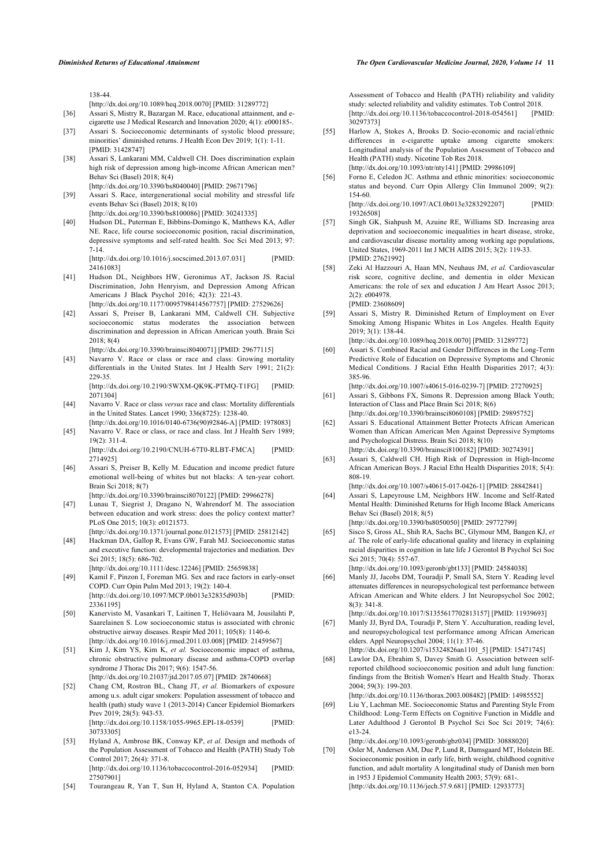138-44.

- [\[http://dx.doi.org/10.1089/heq.2018.0070\]](http://dx.doi.org/10.1089/heq.2018.0070) [PMID: [31289772](http://www.ncbi.nlm.nih.gov/pubmed/31289772)]
- <span id="page-6-0"></span>[36] Assari S, Mistry R, Bazargan M. Race, educational attainment, and ecigarette use J Medical Research and Innovation 2020; 4(1): e000185-.
- <span id="page-6-1"></span>[37] Assari S. Socioeconomic determinants of systolic blood pressure; minorities' diminished returns. J Health Econ Dev 2019; 1(1): 1-11. [PMID: [31428747](http://www.ncbi.nlm.nih.gov/pubmed/31428747)]
- <span id="page-6-2"></span>[38] Assari S, Lankarani MM, Caldwell CH. Does discrimination explain high risk of depression among high-income African American men? Behav Sci (Basel) 2018; 8(4) [\[http://dx.doi.org/10.3390/bs8040040\]](http://dx.doi.org/10.3390/bs8040040) [PMID: [29671796\]](http://www.ncbi.nlm.nih.gov/pubmed/29671796)
- <span id="page-6-16"></span><span id="page-6-3"></span>[39] Assari S. Race, intergenerational social mobility and stressful life events Behav Sci (Basel) 2018; 8(10)
- <span id="page-6-4"></span>[\[http://dx.doi.org/10.3390/bs8100086\]](http://dx.doi.org/10.3390/bs8100086) [PMID: [30241335\]](http://www.ncbi.nlm.nih.gov/pubmed/30241335) [40] Hudson DL, Puterman E, Bibbins-Domingo K, Matthews KA, Adler NE. Race, life course socioeconomic position, racial discrimination, depressive symptoms and self-rated health. Soc Sci Med 2013; 97: 7-14.

[\[http://dx.doi.org/10.1016/j.socscimed.2013.07.031\]](http://dx.doi.org/10.1016/j.socscimed.2013.07.031) [PMID: [24161083\]](http://www.ncbi.nlm.nih.gov/pubmed/24161083)

- <span id="page-6-17"></span><span id="page-6-5"></span>[41] Hudson DL, Neighbors HW, Geronimus AT, Jackson JS. Racial Discrimination, John Henryism, and Depression Among African Americans J Black Psychol 2016; 42(3): 221-43. [\[http://dx.doi.org/10.1177/0095798414567757](http://dx.doi.org/10.1177/0095798414567757)] [PMID: [27529626\]](http://www.ncbi.nlm.nih.gov/pubmed/27529626)
- <span id="page-6-6"></span>[42] Assari S, Preiser B, Lankarani MM, Caldwell CH. Subjective socioeconomic status moderates the association between discrimination and depression in African American youth. Brain Sci 2018; 8(4)

[\[http://dx.doi.org/10.3390/brainsci8040071\]](http://dx.doi.org/10.3390/brainsci8040071) [PMID: [29677115](http://www.ncbi.nlm.nih.gov/pubmed/29677115)]

- <span id="page-6-18"></span><span id="page-6-7"></span>[43] Navarro V. Race or class or race and class: Growing mortality differentials in the United States. Int J Health Serv 1991; 21(2): 229-35. [\[http://dx.doi.org/10.2190/5WXM-QK9K-PTMQ-T1FG\]](http://dx.doi.org/10.2190/5WXM-QK9K-PTMQ-T1FG) [PMID: [2071304](http://www.ncbi.nlm.nih.gov/pubmed/2071304)]
- [44] Navarro V. Race or class *versus* race and class: Mortality differentials in the United States. Lancet 1990; 336(8725): 1238-40.
- <span id="page-6-8"></span>[\[http://dx.doi.org/10.1016/0140-6736\(90\)92846-A](http://dx.doi.org/10.1016/0140-6736(90)92846-A)] [PMID: [1978083](http://www.ncbi.nlm.nih.gov/pubmed/1978083)] [45] Navarro V. Race or class, or race and class. Int J Health Serv 1989; 19(2): 311-4.
- [\[http://dx.doi.org/10.2190/CNUH-67T0-RLBT-FMCA](http://dx.doi.org/10.2190/CNUH-67T0-RLBT-FMCA)] [PMID: [2714925](http://www.ncbi.nlm.nih.gov/pubmed/2714925)]
- <span id="page-6-19"></span><span id="page-6-9"></span>[46] Assari S, Preiser B, Kelly M. Education and income predict future emotional well-being of whites but not blacks: A ten-year cohort. Brain Sci 2018; 8(7)

[\[http://dx.doi.org/10.3390/brainsci8070122\]](http://dx.doi.org/10.3390/brainsci8070122) [PMID: [29966278](http://www.ncbi.nlm.nih.gov/pubmed/29966278)]

- <span id="page-6-20"></span><span id="page-6-10"></span>[47] Lunau T, Siegrist J, Dragano N, Wahrendorf M. The association between education and work stress: does the policy context matter? PLoS One 2015; 10(3): e0121573.
- <span id="page-6-21"></span><span id="page-6-11"></span>[\[http://dx.doi.org/10.1371/journal.pone.0121573\]](http://dx.doi.org/10.1371/journal.pone.0121573) [PMID: [25812142](http://www.ncbi.nlm.nih.gov/pubmed/25812142)] [48] Hackman DA, Gallop R, Evans GW, Farah MJ. Socioeconomic status
- and executive function: developmental trajectories and mediation. Dev Sci 2015; 18(5): 686-702. [\[http://dx.doi.org/10.1111/desc.12246\]](http://dx.doi.org/10.1111/desc.12246) [PMID: [25659838](http://www.ncbi.nlm.nih.gov/pubmed/25659838)]
- <span id="page-6-12"></span>[49] Kamil F, Pinzon I, Foreman MG. Sex and race factors in early-onset COPD. Curr Opin Pulm Med 2013; 19(2): 140-4. [\[http://dx.doi.org/10.1097/MCP.0b013e32835d903b](http://dx.doi.org/10.1097/MCP.0b013e32835d903b)] [PMID: [23361195\]](http://www.ncbi.nlm.nih.gov/pubmed/23361195)
- <span id="page-6-22"></span><span id="page-6-13"></span>[50] Kanervisto M, Vasankari T, Laitinen T, Heliövaara M, Jousilahti P, Saarelainen S. Low socioeconomic status is associated with chronic obstructive airway diseases. Respir Med 2011; 105(8): 1140-6. [\[http://dx.doi.org/10.1016/j.rmed.2011.03.008](http://dx.doi.org/10.1016/j.rmed.2011.03.008)] [PMID: [21459567\]](http://www.ncbi.nlm.nih.gov/pubmed/21459567)
- <span id="page-6-23"></span><span id="page-6-14"></span>[51] Kim J, Kim YS, Kim K, *et al.* Socioeconomic impact of asthma, chronic obstructive pulmonary disease and asthma-COPD overlap syndrome J Thorac Dis 2017; 9(6): 1547-56. [\[http://dx.doi.org/10.21037/jtd.2017.05.07](http://dx.doi.org/10.21037/jtd.2017.05.07)] [PMID: [28740668\]](http://www.ncbi.nlm.nih.gov/pubmed/28740668)
- <span id="page-6-15"></span>[52] Chang CM, Rostron BL, Chang JT, *et al.* Biomarkers of exposure among u.s. adult cigar smokers: Population assessment of tobacco and health (path) study wave 1 (2013-2014) Cancer Epidemiol Biomarkers Prev 2019; 28(5): 943-53. [\[http://dx.doi.org/10.1158/1055-9965.EPI-18-0539](http://dx.doi.org/10.1158/1055-9965.EPI-18-0539)] [PMID:

[30733305\]](http://www.ncbi.nlm.nih.gov/pubmed/30733305)

- [53] Hyland A, Ambrose BK, Conway KP, *et al.* Design and methods of the Population Assessment of Tobacco and Health (PATH) Study Tob Control 2017; 26(4): 371-8. [\[http://dx.doi.org/10.1136/tobaccocontrol-2016-052934\]](http://dx.doi.org/10.1136/tobaccocontrol-2016-052934) [PMID: [27507901\]](http://www.ncbi.nlm.nih.gov/pubmed/27507901)
- [54] Tourangeau R, Yan T, Sun H, Hyland A, Stanton CA. Population

Assessment of Tobacco and Health (PATH) reliability and validity study: selected reliability and validity estimates. Tob Control 2018. [\[http://dx.doi.org/10.1136/tobaccocontrol-2018-054561](http://dx.doi.org/10.1136/tobaccocontrol-2018-054561)] [PMID: [30297373\]](http://www.ncbi.nlm.nih.gov/pubmed/30297373)

- [55] Harlow A, Stokes A, Brooks D. Socio-economic and racial/ethnic differences in e-cigarette uptake among cigarette smokers: Longitudinal analysis of the Population Assessment of Tobacco and Health (PATH) study. Nicotine Tob Res 2018. [\[http://dx.doi.org/10.1093/ntr/nty141\]](http://dx.doi.org/10.1093/ntr/nty141) [PMID: [29986109](http://www.ncbi.nlm.nih.gov/pubmed/29986109)]
- [56] Forno E, Celedon JC. Asthma and ethnic minorities: socioeconomic
	- status and beyond. Curr Opin Allergy Clin Immunol 2009; 9(2): 154-60. [\[http://dx.doi.org/10.1097/ACI.0b013e3283292207\]](http://dx.doi.org/10.1097/ACI.0b013e3283292207) [PMID:

[19326508\]](http://www.ncbi.nlm.nih.gov/pubmed/19326508)

- [57] Singh GK, Siahpush M, Azuine RE, Williams SD. Increasing area deprivation and socioeconomic inequalities in heart disease, stroke, and cardiovascular disease mortality among working age populations, United States, 1969-2011 Int J MCH AIDS 2015; 3(2): 119-33. [PMID: [27621992\]](http://www.ncbi.nlm.nih.gov/pubmed/27621992)
- [58] Zeki Al Hazzouri A, Haan MN, Neuhaus JM, *et al.* Cardiovascular risk score, cognitive decline, and dementia in older Mexican Americans: the role of sex and education J Am Heart Assoc 2013; 2(2): e004978. [PMID: [23608609\]](http://www.ncbi.nlm.nih.gov/pubmed/23608609)
- [59] Assari S, Mistry R. Diminished Return of Employment on Ever Smoking Among Hispanic Whites in Los Angeles. Health Equity 2019; 3(1): 138-44.

[\[http://dx.doi.org/10.1089/heq.2018.0070](http://dx.doi.org/10.1089/heq.2018.0070)] [PMID: [31289772\]](http://www.ncbi.nlm.nih.gov/pubmed/31289772)

[60] Assari S. Combined Racial and Gender Differences in the Long-Term Predictive Role of Education on Depressive Symptoms and Chronic Medical Conditions. J Racial Ethn Health Disparities 2017; 4(3): 385-96.

[\[http://dx.doi.org/10.1007/s40615-016-0239-7\]](http://dx.doi.org/10.1007/s40615-016-0239-7) [PMID: [27270925](http://www.ncbi.nlm.nih.gov/pubmed/27270925)]

- [61] Assari S, Gibbons FX, Simons R. Depression among Black Youth; Interaction of Class and Place Brain Sci 2018; 8(6) [\[http://dx.doi.org/10.3390/brainsci8060108](http://dx.doi.org/10.3390/brainsci8060108)] [PMID: [29895752\]](http://www.ncbi.nlm.nih.gov/pubmed/29895752)
- [62] Assari S. Educational Attainment Better Protects African American Women than African American Men Against Depressive Symptoms and Psychological Distress. Brain Sci 2018; 8(10) [\[http://dx.doi.org/10.3390/brainsci8100182](http://dx.doi.org/10.3390/brainsci8100182)] [PMID: [30274391\]](http://www.ncbi.nlm.nih.gov/pubmed/30274391)
- [63] Assari S, Caldwell CH. High Risk of Depression in High-Income African American Boys. J Racial Ethn Health Disparities 2018; 5(4): 808-19.

[\[http://dx.doi.org/10.1007/s40615-017-0426-1\]](http://dx.doi.org/10.1007/s40615-017-0426-1) [PMID: [28842841](http://www.ncbi.nlm.nih.gov/pubmed/28842841)] [64] Assari S, Lapeyrouse LM, Neighbors HW. Income and Self-Rated

- Mental Health: Diminished Returns for High Income Black Americans Behav Sci (Basel) 2018; 8(5) [\[http://dx.doi.org/10.3390/bs8050050](http://dx.doi.org/10.3390/bs8050050)] [PMID: [29772799\]](http://www.ncbi.nlm.nih.gov/pubmed/29772799)
- [65] Sisco S, Gross AL, Shih RA, Sachs BC, Glymour MM, Bangen KJ, *et al.* The role of early-life educational quality and literacy in explaining racial disparities in cognition in late life J Gerontol B Psychol Sci Soc Sci 2015; 70(4): 557-67.

[\[http://dx.doi.org/10.1093/geronb/gbt133](http://dx.doi.org/10.1093/geronb/gbt133)] [PMID: [24584038\]](http://www.ncbi.nlm.nih.gov/pubmed/24584038)

[66] Manly JJ, Jacobs DM, Touradji P, Small SA, Stern Y. Reading level attenuates differences in neuropsychological test performance between African American and White elders. J Int Neuropsychol Soc 2002; 8(3): 341-8.

[\[http://dx.doi.org/10.1017/S1355617702813157](http://dx.doi.org/10.1017/S1355617702813157)] [PMID: [11939693\]](http://www.ncbi.nlm.nih.gov/pubmed/11939693)

- [67] Manly JJ, Byrd DA, Touradji P, Stern Y. Acculturation, reading level, and neuropsychological test performance among African American elders. Appl Neuropsychol 2004; 11(1): 37-46. [\[http://dx.doi.org/10.1207/s15324826an1101\\_5\]](http://dx.doi.org/10.1207/s15324826an1101_5) [PMID: [15471745](http://www.ncbi.nlm.nih.gov/pubmed/15471745)]
- [68] Lawlor DA, Ebrahim S, Davey Smith G. Association between selfreported childhood socioeconomic position and adult lung function: findings from the British Women's Heart and Health Study. Thorax 2004; 59(3): 199-203.

[\[http://dx.doi.org/10.1136/thorax.2003.008482\]](http://dx.doi.org/10.1136/thorax.2003.008482) [PMID: [14985552](http://www.ncbi.nlm.nih.gov/pubmed/14985552)]

[69] Liu Y, Lachman ME. Socioeconomic Status and Parenting Style From Childhood: Long-Term Effects on Cognitive Function in Middle and Later Adulthood J Gerontol B Psychol Sci Soc Sci 2019; 74(6): e13-24.

[\[http://dx.doi.org/10.1093/geronb/gbz034](http://dx.doi.org/10.1093/geronb/gbz034)] [PMID: [30888020](http://www.ncbi.nlm.nih.gov/pubmed/30888020)] [70] Osler M, Andersen AM, Due P, Lund R, Damsgaard MT, Holstein BE.

Socioeconomic position in early life, birth weight, childhood cognitive function, and adult mortality A longitudinal study of Danish men born in 1953 J Epidemiol Community Health 2003; 57(9): 681-. [\[http://dx.doi.org/10.1136/jech.57.9.681](http://dx.doi.org/10.1136/jech.57.9.681)] [PMID: [12933773\]](http://www.ncbi.nlm.nih.gov/pubmed/12933773)